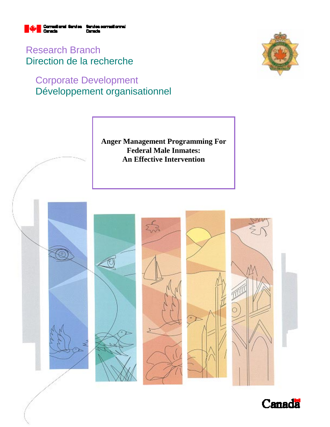

Research Branch Direction de la recherche

## Corporate Development Développement organisationnel



**Anger Management Programming For Federal Male Inmates: An Effective Intervention** 



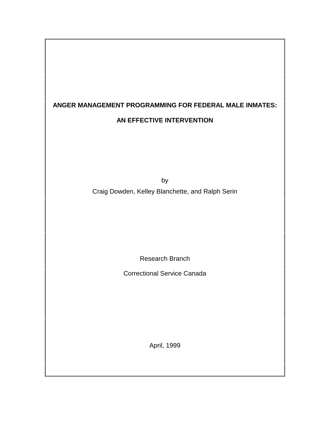# **ANGER MANAGEMENT PROGRAMMING FOR FEDERAL MALE INMATES:**

## **AN EFFECTIVE INTERVENTION**

by Craig Dowden, Kelley Blanchette, and Ralph Serin

Research Branch

Correctional Service Canada

April, 1999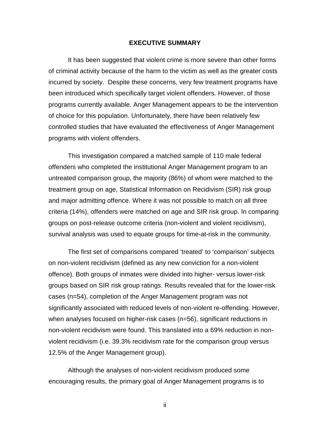#### **EXECUTIVE SUMMARY**

It has been suggested that violent crime is more severe than other forms of criminal activity because of the harm to the victim as well as the greater costs incurred by society. Despite these concerns, very few treatment programs have been introduced which specifically target violent offenders. However, of those programs currently available, Anger Management appears to be the intervention of choice for this population. Unfortunately, there have been relatively few controlled studies that have evaluated the effectiveness of Anger Management programs with violent offenders.

This investigation compared a matched sample of 110 male federal offenders who completed the institutional Anger Management program to an untreated comparison group, the majority (86%) of whom were matched to the treatment group on age, Statistical Information on Recidivism (SIR) risk group and major admitting offence. Where it was not possible to match on all three criteria (14%), offenders were matched on age and SIR risk group. In comparing groups on post-release outcome criteria (non-violent and violent recidivism), survival analysis was used to equate groups for time-at-risk in the community.

The first set of comparisons compared 'treated' to 'comparison' subjects on non-violent recidivism (defined as any new conviction for a non-violent offence). Both groups of inmates were divided into higher- versus lower-risk groups based on SIR risk group ratings. Results revealed that for the lower-risk cases (n=54), completion of the Anger Management program was not significantly associated with reduced levels of non-violent re-offending. However, when analyses focused on higher-risk cases (n=56), significant reductions in non-violent recidivism were found. This translated into a 69% reduction in nonviolent recidivism (i.e. 39.3% recidivism rate for the comparison group versus 12.5% of the Anger Management group).

Although the analyses of non-violent recidivism produced some encouraging results, the primary goal of Anger Management programs is to

ii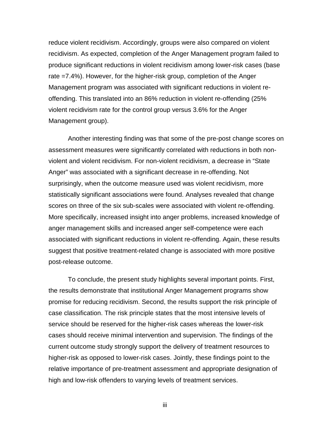reduce violent recidivism. Accordingly, groups were also compared on violent recidivism. As expected, completion of the Anger Management program failed to produce significant reductions in violent recidivism among lower-risk cases (base rate =7.4%). However, for the higher-risk group, completion of the Anger Management program was associated with significant reductions in violent reoffending. This translated into an 86% reduction in violent re-offending (25% violent recidivism rate for the control group versus 3.6% for the Anger Management group).

Another interesting finding was that some of the pre-post change scores on assessment measures were significantly correlated with reductions in both nonviolent and violent recidivism. For non-violent recidivism, a decrease in "State Anger" was associated with a significant decrease in re-offending. Not surprisingly, when the outcome measure used was violent recidivism, more statistically significant associations were found. Analyses revealed that change scores on three of the six sub-scales were associated with violent re-offending. More specifically, increased insight into anger problems, increased knowledge of anger management skills and increased anger self-competence were each associated with significant reductions in violent re-offending. Again, these results suggest that positive treatment-related change is associated with more positive post-release outcome.

To conclude, the present study highlights several important points. First, the results demonstrate that institutional Anger Management programs show promise for reducing recidivism. Second, the results support the risk principle of case classification. The risk principle states that the most intensive levels of service should be reserved for the higher-risk cases whereas the lower-risk cases should receive minimal intervention and supervision. The findings of the current outcome study strongly support the delivery of treatment resources to higher-risk as opposed to lower-risk cases. Jointly, these findings point to the relative importance of pre-treatment assessment and appropriate designation of high and low-risk offenders to varying levels of treatment services.

iii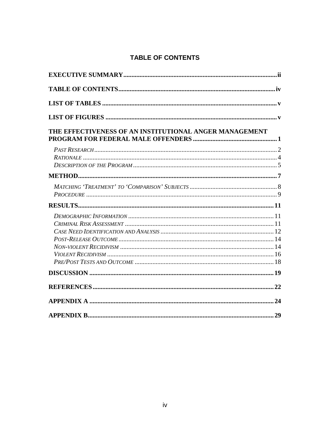## **TABLE OF CONTENTS**

| THE EFFECTIVENESS OF AN INSTITUTIONAL ANGER MANAGEMENT |  |  |  |  |
|--------------------------------------------------------|--|--|--|--|
|                                                        |  |  |  |  |
|                                                        |  |  |  |  |
|                                                        |  |  |  |  |
|                                                        |  |  |  |  |
|                                                        |  |  |  |  |
|                                                        |  |  |  |  |
|                                                        |  |  |  |  |
|                                                        |  |  |  |  |
|                                                        |  |  |  |  |
|                                                        |  |  |  |  |
|                                                        |  |  |  |  |
|                                                        |  |  |  |  |
|                                                        |  |  |  |  |
|                                                        |  |  |  |  |
|                                                        |  |  |  |  |
|                                                        |  |  |  |  |
|                                                        |  |  |  |  |
|                                                        |  |  |  |  |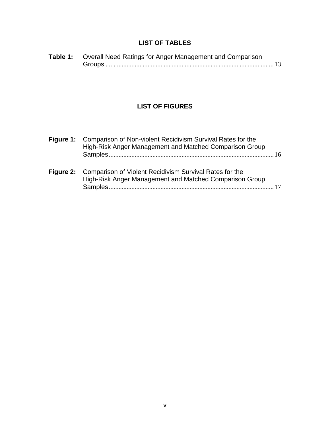## **LIST OF TABLES**

| Table 1: Overall Need Ratings for Anger Management and Comparison |  |
|-------------------------------------------------------------------|--|
|                                                                   |  |

## **LIST OF FIGURES**

| Figure 1: Comparison of Non-violent Recidivism Survival Rates for the<br>High-Risk Anger Management and Matched Comparison Group |  |
|----------------------------------------------------------------------------------------------------------------------------------|--|
| Figure 2: Comparison of Violent Recidivism Survival Rates for the<br>High-Risk Anger Management and Matched Comparison Group     |  |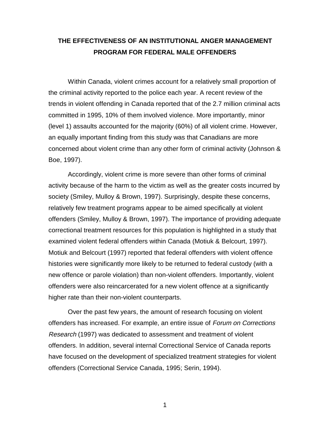## **THE EFFECTIVENESS OF AN INSTITUTIONAL ANGER MANAGEMENT PROGRAM FOR FEDERAL MALE OFFENDERS**

Within Canada, violent crimes account for a relatively small proportion of the criminal activity reported to the police each year. A recent review of the trends in violent offending in Canada reported that of the 2.7 million criminal acts committed in 1995, 10% of them involved violence. More importantly, minor (level 1) assaults accounted for the majority (60%) of all violent crime. However, an equally important finding from this study was that Canadians are more concerned about violent crime than any other form of criminal activity (Johnson & Boe, 1997).

Accordingly, violent crime is more severe than other forms of criminal activity because of the harm to the victim as well as the greater costs incurred by society (Smiley, Mulloy & Brown, 1997). Surprisingly, despite these concerns, relatively few treatment programs appear to be aimed specifically at violent offenders (Smiley, Mulloy & Brown, 1997). The importance of providing adequate correctional treatment resources for this population is highlighted in a study that examined violent federal offenders within Canada (Motiuk & Belcourt, 1997). Motiuk and Belcourt (1997) reported that federal offenders with violent offence histories were significantly more likely to be returned to federal custody (with a new offence or parole violation) than non-violent offenders. Importantly, violent offenders were also reincarcerated for a new violent offence at a significantly higher rate than their non-violent counterparts.

Over the past few years, the amount of research focusing on violent offenders has increased. For example, an entire issue of Forum on Corrections Research (1997) was dedicated to assessment and treatment of violent offenders. In addition, several internal Correctional Service of Canada reports have focused on the development of specialized treatment strategies for violent offenders (Correctional Service Canada, 1995; Serin, 1994).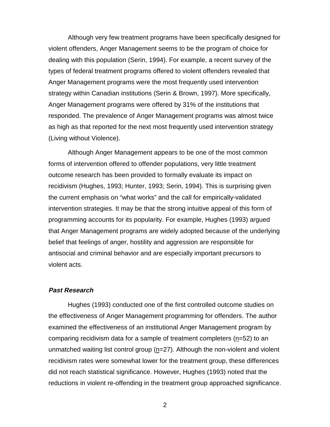Although very few treatment programs have been specifically designed for violent offenders, Anger Management seems to be the program of choice for dealing with this population (Serin, 1994). For example, a recent survey of the types of federal treatment programs offered to violent offenders revealed that Anger Management programs were the most frequently used intervention strategy within Canadian institutions (Serin & Brown, 1997). More specifically, Anger Management programs were offered by 31% of the institutions that responded. The prevalence of Anger Management programs was almost twice as high as that reported for the next most frequently used intervention strategy (Living without Violence).

Although Anger Management appears to be one of the most common forms of intervention offered to offender populations, very little treatment outcome research has been provided to formally evaluate its impact on recidivism (Hughes, 1993; Hunter, 1993; Serin, 1994). This is surprising given the current emphasis on "what works" and the call for empirically-validated intervention strategies. It may be that the strong intuitive appeal of this form of programming accounts for its popularity. For example, Hughes (1993) argued that Anger Management programs are widely adopted because of the underlying belief that feelings of anger, hostility and aggression are responsible for antisocial and criminal behavior and are especially important precursors to violent acts.

#### **Past Research**

Hughes (1993) conducted one of the first controlled outcome studies on the effectiveness of Anger Management programming for offenders. The author examined the effectiveness of an institutional Anger Management program by comparing recidivism data for a sample of treatment completers (n=52) to an unmatched waiting list control group  $(n=27)$ . Although the non-violent and violent recidivism rates were somewhat lower for the treatment group, these differences did not reach statistical significance. However, Hughes (1993) noted that the reductions in violent re-offending in the treatment group approached significance.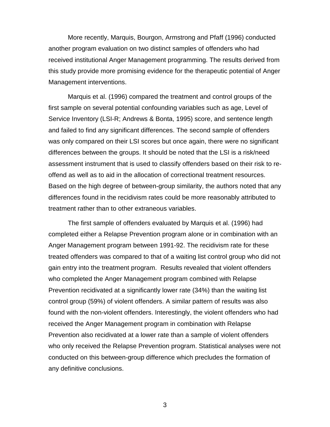More recently, Marquis, Bourgon, Armstrong and Pfaff (1996) conducted another program evaluation on two distinct samples of offenders who had received institutional Anger Management programming. The results derived from this study provide more promising evidence for the therapeutic potential of Anger Management interventions.

Marquis et al. (1996) compared the treatment and control groups of the first sample on several potential confounding variables such as age, Level of Service Inventory (LSI-R; Andrews & Bonta, 1995) score, and sentence length and failed to find any significant differences. The second sample of offenders was only compared on their LSI scores but once again, there were no significant differences between the groups. It should be noted that the LSI is a risk/need assessment instrument that is used to classify offenders based on their risk to reoffend as well as to aid in the allocation of correctional treatment resources. Based on the high degree of between-group similarity, the authors noted that any differences found in the recidivism rates could be more reasonably attributed to treatment rather than to other extraneous variables.

The first sample of offenders evaluated by Marquis et al. (1996) had completed either a Relapse Prevention program alone or in combination with an Anger Management program between 1991-92. The recidivism rate for these treated offenders was compared to that of a waiting list control group who did not gain entry into the treatment program. Results revealed that violent offenders who completed the Anger Management program combined with Relapse Prevention recidivated at a significantly lower rate (34%) than the waiting list control group (59%) of violent offenders. A similar pattern of results was also found with the non-violent offenders. Interestingly, the violent offenders who had received the Anger Management program in combination with Relapse Prevention also recidivated at a lower rate than a sample of violent offenders who only received the Relapse Prevention program. Statistical analyses were not conducted on this between-group difference which precludes the formation of any definitive conclusions.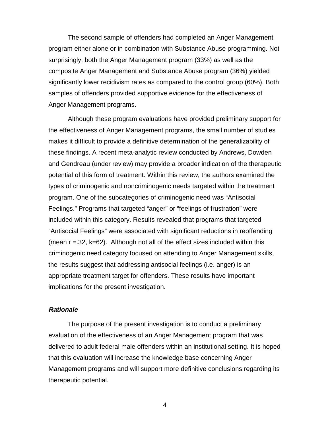The second sample of offenders had completed an Anger Management program either alone or in combination with Substance Abuse programming. Not surprisingly, both the Anger Management program (33%) as well as the composite Anger Management and Substance Abuse program (36%) yielded significantly lower recidivism rates as compared to the control group (60%). Both samples of offenders provided supportive evidence for the effectiveness of Anger Management programs.

Although these program evaluations have provided preliminary support for the effectiveness of Anger Management programs, the small number of studies makes it difficult to provide a definitive determination of the generalizability of these findings. A recent meta-analytic review conducted by Andrews, Dowden and Gendreau (under review) may provide a broader indication of the therapeutic potential of this form of treatment. Within this review, the authors examined the types of criminogenic and noncriminogenic needs targeted within the treatment program. One of the subcategories of criminogenic need was "Antisocial Feelings." Programs that targeted "anger" or "feelings of frustration" were included within this category. Results revealed that programs that targeted "Antisocial Feelings" were associated with significant reductions in reoffending (mean  $r = 0.32$ ,  $k = 62$ ). Although not all of the effect sizes included within this criminogenic need category focused on attending to Anger Management skills, the results suggest that addressing antisocial feelings (i.e. anger) is an appropriate treatment target for offenders. These results have important implications for the present investigation.

#### **Rationale**

The purpose of the present investigation is to conduct a preliminary evaluation of the effectiveness of an Anger Management program that was delivered to adult federal male offenders within an institutional setting. It is hoped that this evaluation will increase the knowledge base concerning Anger Management programs and will support more definitive conclusions regarding its therapeutic potential.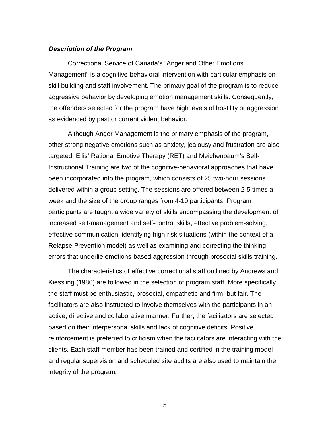#### **Description of the Program**

Correctional Service of Canada's "Anger and Other Emotions Management" is a cognitive-behavioral intervention with particular emphasis on skill building and staff involvement. The primary goal of the program is to reduce aggressive behavior by developing emotion management skills. Consequently, the offenders selected for the program have high levels of hostility or aggression as evidenced by past or current violent behavior.

Although Anger Management is the primary emphasis of the program, other strong negative emotions such as anxiety, jealousy and frustration are also targeted. Ellis' Rational Emotive Therapy (RET) and Meichenbaum's Self-Instructional Training are two of the cognitive-behavioral approaches that have been incorporated into the program, which consists of 25 two-hour sessions delivered within a group setting. The sessions are offered between 2-5 times a week and the size of the group ranges from 4-10 participants. Program participants are taught a wide variety of skills encompassing the development of increased self-management and self-control skills, effective problem-solving, effective communication, identifying high-risk situations (within the context of a Relapse Prevention model) as well as examining and correcting the thinking errors that underlie emotions-based aggression through prosocial skills training.

The characteristics of effective correctional staff outlined by Andrews and Kiessling (1980) are followed in the selection of program staff. More specifically, the staff must be enthusiastic, prosocial, empathetic and firm, but fair. The facilitators are also instructed to involve themselves with the participants in an active, directive and collaborative manner. Further, the facilitators are selected based on their interpersonal skills and lack of cognitive deficits. Positive reinforcement is preferred to criticism when the facilitators are interacting with the clients. Each staff member has been trained and certified in the training model and regular supervision and scheduled site audits are also used to maintain the integrity of the program.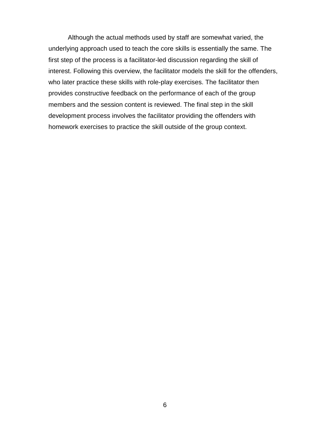Although the actual methods used by staff are somewhat varied, the underlying approach used to teach the core skills is essentially the same. The first step of the process is a facilitator-led discussion regarding the skill of interest. Following this overview, the facilitator models the skill for the offenders, who later practice these skills with role-play exercises. The facilitator then provides constructive feedback on the performance of each of the group members and the session content is reviewed. The final step in the skill development process involves the facilitator providing the offenders with homework exercises to practice the skill outside of the group context.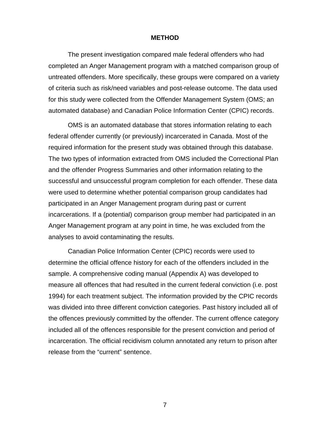#### **METHOD**

The present investigation compared male federal offenders who had completed an Anger Management program with a matched comparison group of untreated offenders. More specifically, these groups were compared on a variety of criteria such as risk/need variables and post-release outcome. The data used for this study were collected from the Offender Management System (OMS; an automated database) and Canadian Police Information Center (CPIC) records.

OMS is an automated database that stores information relating to each federal offender currently (or previously) incarcerated in Canada. Most of the required information for the present study was obtained through this database. The two types of information extracted from OMS included the Correctional Plan and the offender Progress Summaries and other information relating to the successful and unsuccessful program completion for each offender. These data were used to determine whether potential comparison group candidates had participated in an Anger Management program during past or current incarcerations. If a (potential) comparison group member had participated in an Anger Management program at any point in time, he was excluded from the analyses to avoid contaminating the results.

Canadian Police Information Center (CPIC) records were used to determine the official offence history for each of the offenders included in the sample. A comprehensive coding manual (Appendix A) was developed to measure all offences that had resulted in the current federal conviction (i.e. post 1994) for each treatment subject. The information provided by the CPIC records was divided into three different conviction categories. Past history included all of the offences previously committed by the offender. The current offence category included all of the offences responsible for the present conviction and period of incarceration. The official recidivism column annotated any return to prison after release from the "current" sentence.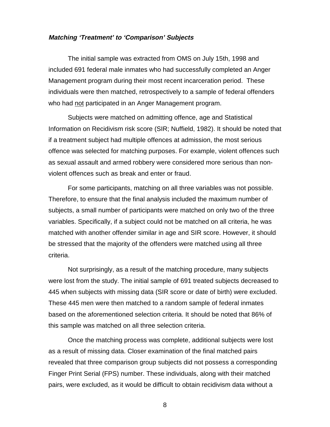#### **Matching 'Treatment' to 'Comparison' Subjects**

The initial sample was extracted from OMS on July 15th, 1998 and included 691 federal male inmates who had successfully completed an Anger Management program during their most recent incarceration period. These individuals were then matched, retrospectively to a sample of federal offenders who had not participated in an Anger Management program.

Subjects were matched on admitting offence, age and Statistical Information on Recidivism risk score (SIR; Nuffield, 1982). It should be noted that if a treatment subject had multiple offences at admission, the most serious offence was selected for matching purposes. For example, violent offences such as sexual assault and armed robbery were considered more serious than nonviolent offences such as break and enter or fraud.

For some participants, matching on all three variables was not possible. Therefore, to ensure that the final analysis included the maximum number of subjects, a small number of participants were matched on only two of the three variables. Specifically, if a subject could not be matched on all criteria, he was matched with another offender similar in age and SIR score. However, it should be stressed that the majority of the offenders were matched using all three criteria.

Not surprisingly, as a result of the matching procedure, many subjects were lost from the study. The initial sample of 691 treated subjects decreased to 445 when subjects with missing data (SIR score or date of birth) were excluded. These 445 men were then matched to a random sample of federal inmates based on the aforementioned selection criteria. It should be noted that 86% of this sample was matched on all three selection criteria.

Once the matching process was complete, additional subjects were lost as a result of missing data. Closer examination of the final matched pairs revealed that three comparison group subjects did not possess a corresponding Finger Print Serial (FPS) number. These individuals, along with their matched pairs, were excluded, as it would be difficult to obtain recidivism data without a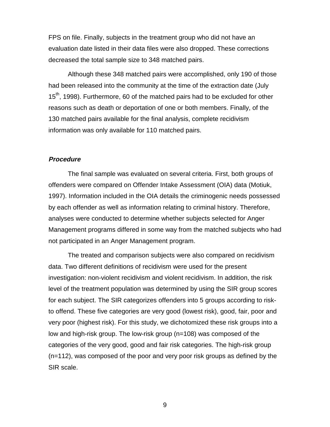FPS on file. Finally, subjects in the treatment group who did not have an evaluation date listed in their data files were also dropped. These corrections decreased the total sample size to 348 matched pairs.

Although these 348 matched pairs were accomplished, only 190 of those had been released into the community at the time of the extraction date (July 15<sup>th</sup>, 1998). Furthermore, 60 of the matched pairs had to be excluded for other reasons such as death or deportation of one or both members. Finally, of the 130 matched pairs available for the final analysis, complete recidivism information was only available for 110 matched pairs.

#### **Procedure**

The final sample was evaluated on several criteria. First, both groups of offenders were compared on Offender Intake Assessment (OIA) data (Motiuk, 1997). Information included in the OIA details the criminogenic needs possessed by each offender as well as information relating to criminal history. Therefore, analyses were conducted to determine whether subjects selected for Anger Management programs differed in some way from the matched subjects who had not participated in an Anger Management program.

The treated and comparison subjects were also compared on recidivism data. Two different definitions of recidivism were used for the present investigation: non-violent recidivism and violent recidivism. In addition, the risk level of the treatment population was determined by using the SIR group scores for each subject. The SIR categorizes offenders into 5 groups according to riskto offend. These five categories are very good (lowest risk), good, fair, poor and very poor (highest risk). For this study, we dichotomized these risk groups into a low and high-risk group. The low-risk group (n=108) was composed of the categories of the very good, good and fair risk categories. The high-risk group (n=112), was composed of the poor and very poor risk groups as defined by the SIR scale.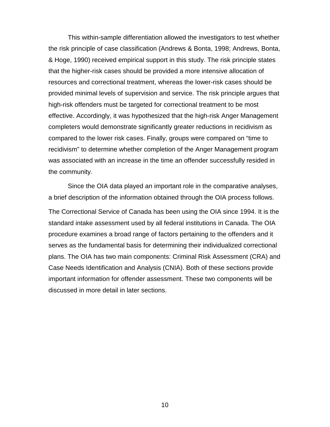This within-sample differentiation allowed the investigators to test whether the risk principle of case classification (Andrews & Bonta, 1998; Andrews, Bonta, & Hoge, 1990) received empirical support in this study. The risk principle states that the higher-risk cases should be provided a more intensive allocation of resources and correctional treatment, whereas the lower-risk cases should be provided minimal levels of supervision and service. The risk principle argues that high-risk offenders must be targeted for correctional treatment to be most effective. Accordingly, it was hypothesized that the high-risk Anger Management completers would demonstrate significantly greater reductions in recidivism as compared to the lower risk cases. Finally, groups were compared on "time to recidivism" to determine whether completion of the Anger Management program was associated with an increase in the time an offender successfully resided in the community.

Since the OIA data played an important role in the comparative analyses, a brief description of the information obtained through the OIA process follows. The Correctional Service of Canada has been using the OIA since 1994. It is the standard intake assessment used by all federal institutions in Canada. The OIA procedure examines a broad range of factors pertaining to the offenders and it serves as the fundamental basis for determining their individualized correctional plans. The OIA has two main components: Criminal Risk Assessment (CRA) and Case Needs Identification and Analysis (CNIA). Both of these sections provide important information for offender assessment. These two components will be discussed in more detail in later sections.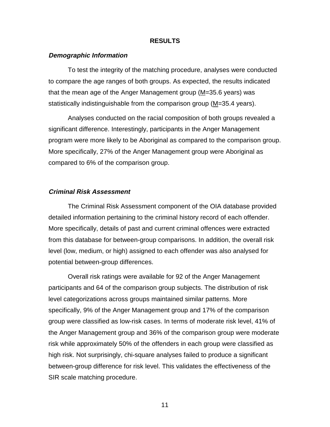#### **RESULTS**

#### **Demographic Information**

To test the integrity of the matching procedure, analyses were conducted to compare the age ranges of both groups. As expected, the results indicated that the mean age of the Anger Management group  $(M=35.6 \text{ years})$  was statistically indistinguishable from the comparison group (M=35.4 years).

Analyses conducted on the racial composition of both groups revealed a significant difference. Interestingly, participants in the Anger Management program were more likely to be Aboriginal as compared to the comparison group. More specifically, 27% of the Anger Management group were Aboriginal as compared to 6% of the comparison group.

#### **Criminal Risk Assessment**

The Criminal Risk Assessment component of the OIA database provided detailed information pertaining to the criminal history record of each offender. More specifically, details of past and current criminal offences were extracted from this database for between-group comparisons. In addition, the overall risk level (low, medium, or high) assigned to each offender was also analysed for potential between-group differences.

Overall risk ratings were available for 92 of the Anger Management participants and 64 of the comparison group subjects. The distribution of risk level categorizations across groups maintained similar patterns. More specifically, 9% of the Anger Management group and 17% of the comparison group were classified as low-risk cases. In terms of moderate risk level, 41% of the Anger Management group and 36% of the comparison group were moderate risk while approximately 50% of the offenders in each group were classified as high risk. Not surprisingly, chi-square analyses failed to produce a significant between-group difference for risk level. This validates the effectiveness of the SIR scale matching procedure.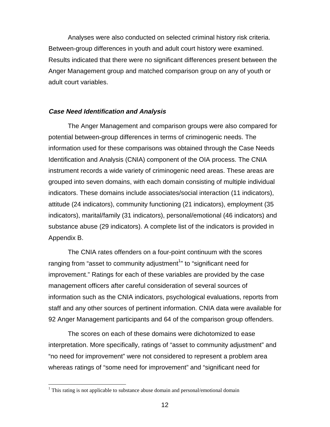Analyses were also conducted on selected criminal history risk criteria. Between-group differences in youth and adult court history were examined. Results indicated that there were no significant differences present between the Anger Management group and matched comparison group on any of youth or adult court variables.

#### **Case Need Identification and Analysis**

The Anger Management and comparison groups were also compared for potential between-group differences in terms of criminogenic needs. The information used for these comparisons was obtained through the Case Needs Identification and Analysis (CNIA) component of the OIA process. The CNIA instrument records a wide variety of criminogenic need areas. These areas are grouped into seven domains, with each domain consisting of multiple individual indicators. These domains include associates/social interaction (11 indicators), attitude (24 indicators), community functioning (21 indicators), employment (35 indicators), marital/family (31 indicators), personal/emotional (46 indicators) and substance abuse (29 indicators). A complete list of the indicators is provided in Appendix B.

The CNIA rates offenders on a four-point continuum with the scores ranging from "asset to community adjustment<sup>1</sup>" to "significant need for improvement." Ratings for each of these variables are provided by the case management officers after careful consideration of several sources of information such as the CNIA indicators, psychological evaluations, reports from staff and any other sources of pertinent information. CNIA data were available for 92 Anger Management participants and 64 of the comparison group offenders.

The scores on each of these domains were dichotomized to ease interpretation. More specifically, ratings of "asset to community adjustment" and "no need for improvement" were not considered to represent a problem area whereas ratings of "some need for improvement" and "significant need for

 $\overline{a}$ 

 $1$  This rating is not applicable to substance abuse domain and personal/emotional domain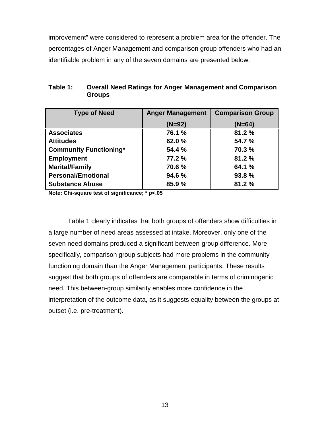improvement" were considered to represent a problem area for the offender. The percentages of Anger Management and comparison group offenders who had an identifiable problem in any of the seven domains are presented below.

| <b>Type of Need</b>           | <b>Anger Management</b> | <b>Comparison Group</b> |
|-------------------------------|-------------------------|-------------------------|
|                               | $(N=92)$                | $(N=64)$                |
| <b>Associates</b>             | 76.1 %                  | 81.2%                   |
| <b>Attitudes</b>              | 62.0%                   | 54.7 %                  |
| <b>Community Functioning*</b> | 54.4 %                  | 70.3 %                  |
| <b>Employment</b>             | 77.2 %                  | 81.2%                   |
| <b>Marital/Family</b>         | 70.6 %                  | 64.1 %                  |
| <b>Personal/Emotional</b>     | 94.6 %                  | 93.8 %                  |
| <b>Substance Abuse</b>        | 85.9 %                  | 81.2%                   |

| Table 1: | <b>Overall Need Ratings for Anger Management and Comparison</b> |
|----------|-----------------------------------------------------------------|
|          | <b>Groups</b>                                                   |

**Note: Chi-square test of significance; \* p<.05**

Table 1 clearly indicates that both groups of offenders show difficulties in a large number of need areas assessed at intake. Moreover, only one of the seven need domains produced a significant between-group difference. More specifically, comparison group subjects had more problems in the community functioning domain than the Anger Management participants. These results suggest that both groups of offenders are comparable in terms of criminogenic need. This between-group similarity enables more confidence in the interpretation of the outcome data, as it suggests equality between the groups at outset (i.e. pre-treatment).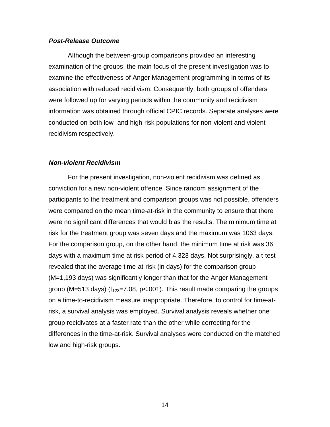#### **Post-Release Outcome**

Although the between-group comparisons provided an interesting examination of the groups, the main focus of the present investigation was to examine the effectiveness of Anger Management programming in terms of its association with reduced recidivism. Consequently, both groups of offenders were followed up for varying periods within the community and recidivism information was obtained through official CPIC records. Separate analyses were conducted on both low- and high-risk populations for non-violent and violent recidivism respectively.

#### **Non-violent Recidivism**

For the present investigation, non-violent recidivism was defined as conviction for a new non-violent offence. Since random assignment of the participants to the treatment and comparison groups was not possible, offenders were compared on the mean time-at-risk in the community to ensure that there were no significant differences that would bias the results. The minimum time at risk for the treatment group was seven days and the maximum was 1063 days. For the comparison group, on the other hand, the minimum time at risk was 36 days with a maximum time at risk period of 4,323 days. Not surprisingly, a t-test revealed that the average time-at-risk (in days) for the comparison group (M=1,193 days) was significantly longer than that for the Anger Management group (M=513 days) ( $t_{123}=7.08$ , p<.001). This result made comparing the groups on a time-to-recidivism measure inappropriate. Therefore, to control for time-atrisk, a survival analysis was employed. Survival analysis reveals whether one group recidivates at a faster rate than the other while correcting for the differences in the time-at-risk. Survival analyses were conducted on the matched low and high-risk groups.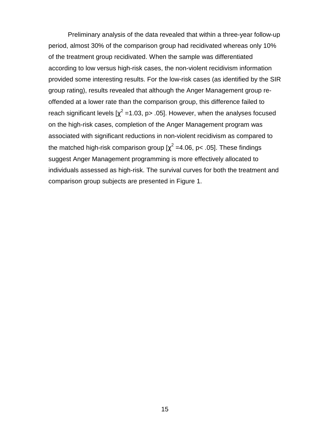Preliminary analysis of the data revealed that within a three-year follow-up period, almost 30% of the comparison group had recidivated whereas only 10% of the treatment group recidivated. When the sample was differentiated according to low versus high-risk cases, the non-violent recidivism information provided some interesting results. For the low-risk cases (as identified by the SIR group rating), results revealed that although the Anger Management group reoffended at a lower rate than the comparison group, this difference failed to reach significant levels [ $\chi^2$  =1.03, p> .05]. However, when the analyses focused on the high-risk cases, completion of the Anger Management program was associated with significant reductions in non-violent recidivism as compared to the matched high-risk comparison group [ $\chi^2$  =4.06, p< .05]. These findings suggest Anger Management programming is more effectively allocated to individuals assessed as high-risk. The survival curves for both the treatment and comparison group subjects are presented in Figure 1.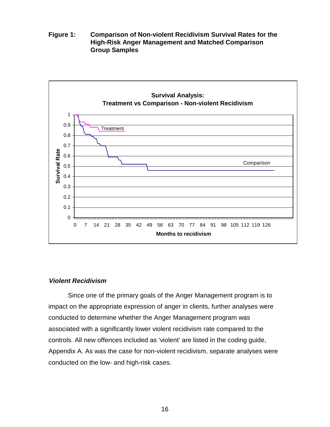**Figure 1: Comparison of Non-violent Recidivism Survival Rates for the High-Risk Anger Management and Matched Comparison Group Samples**



#### **Violent Recidivism**

Since one of the primary goals of the Anger Management program is to impact on the appropriate expression of anger in clients, further analyses were conducted to determine whether the Anger Management program was associated with a significantly lower violent recidivism rate compared to the controls. All new offences included as 'violent' are listed in the coding guide, Appendix A. As was the case for non-violent recidivism, separate analyses were conducted on the low- and high-risk cases.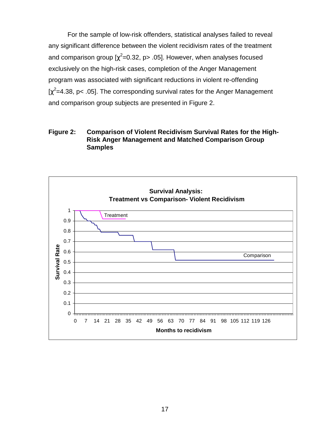For the sample of low-risk offenders, statistical analyses failed to reveal any significant difference between the violent recidivism rates of the treatment and comparison group [ $\chi^2$ =0.32, p> .05]. However, when analyses focused exclusively on the high-risk cases, completion of the Anger Management program was associated with significant reductions in violent re-offending [ $\chi^2$ =4.38, p< .05]. The corresponding survival rates for the Anger Management and comparison group subjects are presented in Figure 2.

## **Figure 2: Comparison of Violent Recidivism Survival Rates for the High-Risk Anger Management and Matched Comparison Group Samples**

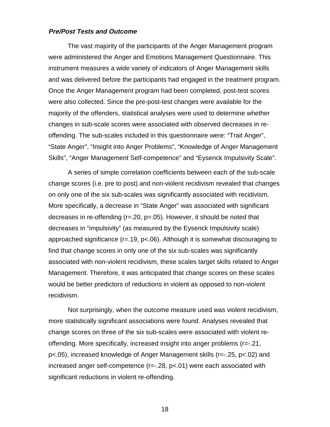#### **Pre/Post Tests and Outcome**

The vast majority of the participants of the Anger Management program were administered the Anger and Emotions Management Questionnaire. This instrument measures a wide variety of indicators of Anger Management skills and was delivered before the participants had engaged in the treatment program. Once the Anger Management program had been completed, post-test scores were also collected. Since the pre-post-test changes were available for the majority of the offenders, statistical analyses were used to determine whether changes in sub-scale scores were associated with observed decreases in reoffending. The sub-scales included in this questionnaire were: "Trait Anger", "State Anger", "Insight into Anger Problems", "Knowledge of Anger Management Skills", "Anger Management Self-competence" and "Eysenck Impulsivity Scale".

A series of simple correlation coefficients between each of the sub-scale change scores (i.e. pre to post) and non-violent recidivism revealed that changes on only one of the six sub-scales was significantly associated with recidivism. More specifically, a decrease in "State Anger" was associated with significant decreases in re-offending (r=.20, p=.05). However, it should be noted that decreases in "impulsivity" (as measured by the Eysenck Impulsivity scale) approached significance (r=.19, p<.06). Although it is somewhat discouraging to find that change scores in only one of the six sub-scales was significantly associated with non-violent recidivism, these scales target skills related to Anger Management. Therefore, it was anticipated that change scores on these scales would be better predictors of reductions in violent as opposed to non-violent recidivism.

Not surprisingly, when the outcome measure used was violent recidivism, more statistically significant associations were found. Analyses revealed that change scores on three of the six sub-scales were associated with violent reoffending. More specifically, increased insight into anger problems (r=-.21, p<.05), increased knowledge of Anger Management skills (r=-.25, p<.02) and increased anger self-competence (r=-.28, p<.01) were each associated with significant reductions in violent re-offending.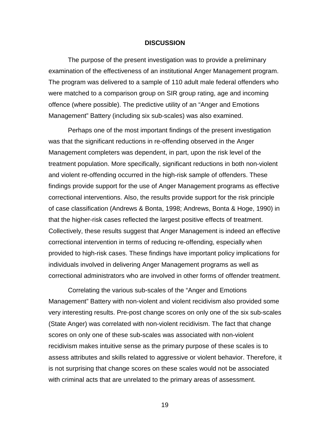#### **DISCUSSION**

The purpose of the present investigation was to provide a preliminary examination of the effectiveness of an institutional Anger Management program. The program was delivered to a sample of 110 adult male federal offenders who were matched to a comparison group on SIR group rating, age and incoming offence (where possible). The predictive utility of an "Anger and Emotions Management" Battery (including six sub-scales) was also examined.

Perhaps one of the most important findings of the present investigation was that the significant reductions in re-offending observed in the Anger Management completers was dependent, in part, upon the risk level of the treatment population. More specifically, significant reductions in both non-violent and violent re-offending occurred in the high-risk sample of offenders. These findings provide support for the use of Anger Management programs as effective correctional interventions. Also, the results provide support for the risk principle of case classification (Andrews & Bonta, 1998; Andrews, Bonta & Hoge, 1990) in that the higher-risk cases reflected the largest positive effects of treatment. Collectively, these results suggest that Anger Management is indeed an effective correctional intervention in terms of reducing re-offending, especially when provided to high-risk cases. These findings have important policy implications for individuals involved in delivering Anger Management programs as well as correctional administrators who are involved in other forms of offender treatment.

Correlating the various sub-scales of the "Anger and Emotions Management" Battery with non-violent and violent recidivism also provided some very interesting results. Pre-post change scores on only one of the six sub-scales (State Anger) was correlated with non-violent recidivism. The fact that change scores on only one of these sub-scales was associated with non-violent recidivism makes intuitive sense as the primary purpose of these scales is to assess attributes and skills related to aggressive or violent behavior. Therefore, it is not surprising that change scores on these scales would not be associated with criminal acts that are unrelated to the primary areas of assessment.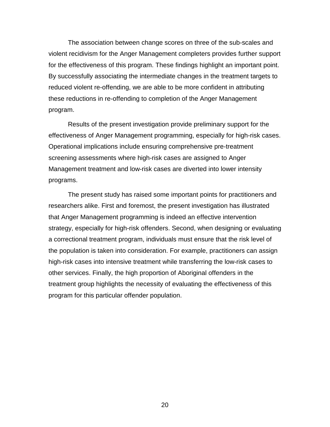The association between change scores on three of the sub-scales and violent recidivism for the Anger Management completers provides further support for the effectiveness of this program. These findings highlight an important point. By successfully associating the intermediate changes in the treatment targets to reduced violent re-offending, we are able to be more confident in attributing these reductions in re-offending to completion of the Anger Management program.

Results of the present investigation provide preliminary support for the effectiveness of Anger Management programming, especially for high-risk cases. Operational implications include ensuring comprehensive pre-treatment screening assessments where high-risk cases are assigned to Anger Management treatment and low-risk cases are diverted into lower intensity programs.

The present study has raised some important points for practitioners and researchers alike. First and foremost, the present investigation has illustrated that Anger Management programming is indeed an effective intervention strategy, especially for high-risk offenders. Second, when designing or evaluating a correctional treatment program, individuals must ensure that the risk level of the population is taken into consideration. For example, practitioners can assign high-risk cases into intensive treatment while transferring the low-risk cases to other services. Finally, the high proportion of Aboriginal offenders in the treatment group highlights the necessity of evaluating the effectiveness of this program for this particular offender population.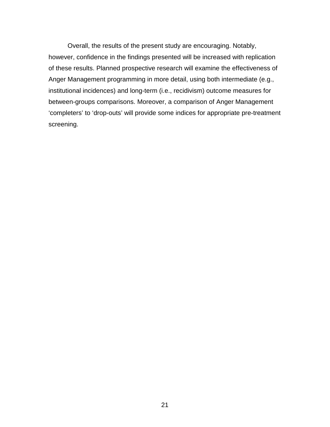Overall, the results of the present study are encouraging. Notably, however, confidence in the findings presented will be increased with replication of these results. Planned prospective research will examine the effectiveness of Anger Management programming in more detail, using both intermediate (e.g., institutional incidences) and long-term (i.e., recidivism) outcome measures for between-groups comparisons. Moreover, a comparison of Anger Management 'completers' to 'drop-outs' will provide some indices for appropriate pre-treatment screening.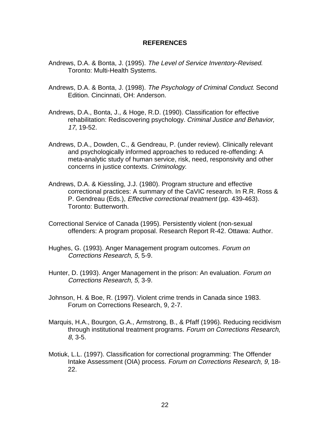#### **REFERENCES**

- Andrews, D.A. & Bonta, J. (1995). The Level of Service Inventory-Revised. Toronto: Multi-Health Systems.
- Andrews, D.A. & Bonta, J. (1998). The Psychology of Criminal Conduct. Second Edition. Cincinnati, OH: Anderson.
- Andrews, D.A., Bonta, J., & Hoge, R.D. (1990). Classification for effective rehabilitation: Rediscovering psychology. Criminal Justice and Behavior, 17, 19-52.
- Andrews, D.A., Dowden, C., & Gendreau, P. (under review). Clinically relevant and psychologically informed approaches to reduced re-offending: A meta-analytic study of human service, risk, need, responsivity and other concerns in justice contexts. Criminology.
- Andrews, D.A. & Kiessling, J.J. (1980). Program structure and effective correctional practices: A summary of the CaVIC research. In R.R. Ross & P. Gendreau (Eds.), Effective correctional treatment (pp. 439-463). Toronto: Butterworth.
- Correctional Service of Canada (1995). Persistently violent (non-sexual offenders: A program proposal. Research Report R-42. Ottawa: Author.
- Hughes, G. (1993). Anger Management program outcomes. Forum on Corrections Research, 5, 5-9.
- Hunter, D. (1993). Anger Management in the prison: An evaluation. Forum on Corrections Research, 5, 3-9.
- Johnson, H. & Boe, R. (1997). Violent crime trends in Canada since 1983. Forum on Corrections Research, 9, 2-7.
- Marquis, H.A., Bourgon, G.A., Armstrong, B., & Pfaff (1996). Reducing recidivism through institutional treatment programs. Forum on Corrections Research, 8, 3-5.
- Motiuk, L.L. (1997). Classification for correctional programming: The Offender Intake Assessment (OIA) process. Forum on Corrections Research, 9, 18- 22.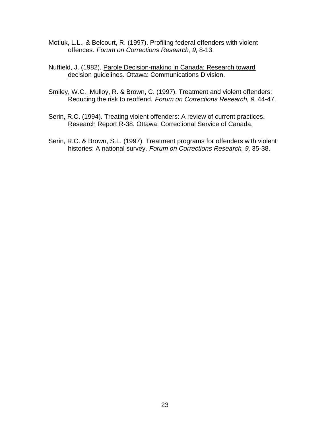- Motiuk, L.L., & Belcourt, R. (1997). Profiling federal offenders with violent offences. Forum on Corrections Research, 9, 8-13.
- Nuffield, J. (1982). Parole Decision-making in Canada: Research toward decision guidelines. Ottawa: Communications Division.
- Smiley, W.C., Mulloy, R. & Brown, C. (1997). Treatment and violent offenders: Reducing the risk to reoffend. Forum on Corrections Research, 9, 44-47.
- Serin, R.C. (1994). Treating violent offenders: A review of current practices. Research Report R-38. Ottawa: Correctional Service of Canada.
- Serin, R.C. & Brown, S.L. (1997). Treatment programs for offenders with violent histories: A national survey. Forum on Corrections Research, 9, 35-38.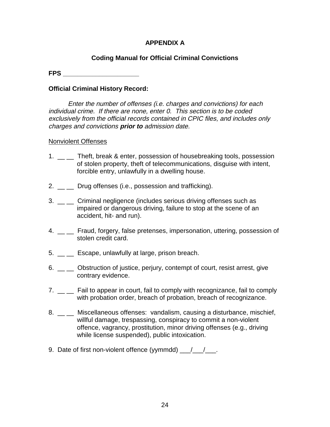## **APPENDIX A**

## **Coding Manual for Official Criminal Convictions**

**FPS \_\_\_\_\_\_\_\_\_\_\_\_\_\_\_\_\_\_\_\_\_**

## **Official Criminal History Record:**

Enter the number of offenses (i.e. charges and convictions) for each individual crime. If there are none, enter 0. This section is to be coded exclusively from the official records contained in CPIC files, and includes only charges and convictions **prior to** admission date.

## Nonviolent Offenses

- 1. \_ \_ Theft, break & enter, possession of housebreaking tools, possession of stolen property, theft of telecommunications, disguise with intent, forcible entry, unlawfully in a dwelling house.
- 2.  $\equiv$  Drug offenses (i.e., possession and trafficking).
- 3. \_\_ \_\_ Criminal negligence (includes serious driving offenses such as impaired or dangerous driving, failure to stop at the scene of an accident, hit- and run).
- 4. \_ Fraud, forgery, false pretenses, impersonation, uttering, possession of stolen credit card.
- 5. \_\_ \_ Escape, unlawfully at large, prison breach.
- 6. \_ cbstruction of justice, perjury, contempt of court, resist arrest, give -<br>contrary evidence.
- 7. \_ \_ Fail to appear in court, fail to comply with recognizance, fail to comply with probation order, breach of probation, breach of recognizance.
- 8. \_ \_ Miscellaneous offenses: vandalism, causing a disturbance, mischief, willful damage, trespassing, conspiracy to commit a non-violent offence, vagrancy, prostitution, minor driving offenses (e.g., driving while license suspended), public intoxication.
- 9. Date of first non-violent offence (yymmdd)  $\frac{1}{\sqrt{2}}$ .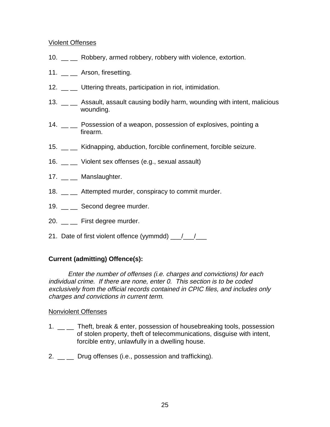## Violent Offenses

- 10. \_\_ \_\_ Robbery, armed robbery, robbery with violence, extortion.
- 11. \_\_ \_\_ Arson, firesetting.
- 12. \_\_ \_ Uttering threats, participation in riot, intimidation.
- 13. \_\_ \_ Assault, assault causing bodily harm, wounding with intent, malicious wounding.
- 14. \_\_ \_ Possession of a weapon, possession of explosives, pointing a firearm.
- 15. \_\_ \_ Kidnapping, abduction, forcible confinement, forcible seizure.
- 16. \_\_ \_\_ Violent sex offenses (e.g., sexual assault)
- 17. \_\_ \_\_ Manslaughter.
- 18. Attempted murder, conspiracy to commit murder.
- 19. \_\_ \_\_ Second degree murder.
- 20. \_\_ \_\_ First degree murder.
- 21. Date of first violent offence (yymmdd)  $\frac{1}{\sqrt{2}}$

## **Current (admitting) Offence(s):**

Enter the number of offenses (i.e. charges and convictions) for each individual crime. If there are none, enter 0. This section is to be coded exclusively from the official records contained in CPIC files, and includes only charges and convictions in current term.

## Nonviolent Offenses

- 1. \_ \_ Theft, break & enter, possession of housebreaking tools, possession of stolen property, theft of telecommunications, disguise with intent, forcible entry, unlawfully in a dwelling house.
- 2.  $\Box$  Drug offenses (i.e., possession and trafficking).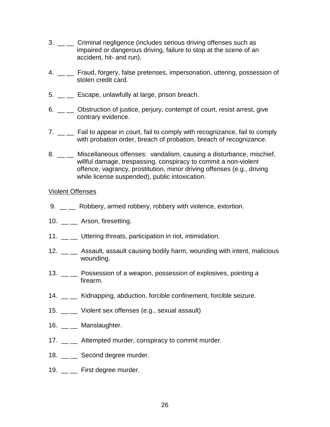- 3. \_ \_ Criminal negligence (includes serious driving offenses such as impaired or dangerous driving, failure to stop at the scene of an accident, hit- and run).
- 4. \_ Fraud, forgery, false pretenses, impersonation, uttering, possession of stolen credit card.
- 5. \_\_ \_ Escape, unlawfully at large, prison breach.
- 6. \_ cobstruction of justice, perjury, contempt of court, resist arrest, give contrary evidence.
- 7. \_ \_ Fail to appear in court, fail to comply with recognizance, fail to comply with probation order, breach of probation, breach of recognizance.
- 8. \_ miscellaneous offenses: vandalism, causing a disturbance, mischief, willful damage, trespassing, conspiracy to commit a non-violent offence, vagrancy, prostitution, minor driving offenses (e.g., driving while license suspended), public intoxication.

#### Violent Offenses

- 9. \_ Robbery, armed robbery, robbery with violence, extortion.
- 10. \_\_ \_\_ Arson, firesetting.
- 11. \_\_ \_ Uttering threats, participation in riot, intimidation.
- 12. \_\_ \_ Assault, assault causing bodily harm, wounding with intent, malicious wounding.
- 13. \_\_ \_ Possession of a weapon, possession of explosives, pointing a firearm.
- 14. \_\_ \_ Kidnapping, abduction, forcible confinement, forcible seizure.
- 15. \_\_ \_\_ Violent sex offenses (e.g., sexual assault)
- 16. Manslaughter.
- 17. \_\_ \_ Attempted murder, conspiracy to commit murder.
- 18. \_\_ \_\_ Second degree murder.
- 19.  $\frac{1}{2}$  First degree murder.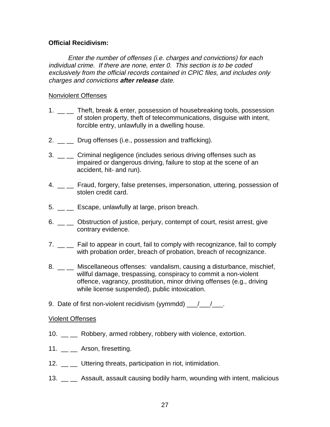## **Official Recidivism:**

Enter the number of offenses (i.e. charges and convictions) for each individual crime. If there are none, enter 0. This section is to be coded exclusively from the official records contained in CPIC files, and includes only charges and convictions **after release** date.

## Nonviolent Offenses

- 1. \_\_ \_ Theft, break & enter, possession of housebreaking tools, possession of stolen property, theft of telecommunications, disguise with intent, forcible entry, unlawfully in a dwelling house.
- 2. Drug offenses (i.e., possession and trafficking).
- 3. \_\_ \_ Criminal negligence (includes serious driving offenses such as impaired or dangerous driving, failure to stop at the scene of an accident, hit- and run).
- 4. \_ \_ Fraud, forgery, false pretenses, impersonation, uttering, possession of stolen credit card.
- 5. \_\_ \_\_ Escape, unlawfully at large, prison breach.
- 6. \_\_ \_\_ Obstruction of justice, perjury, contempt of court, resist arrest, give contrary evidence.
- 7. \_ \_ Fail to appear in court, fail to comply with recognizance, fail to comply with probation order, breach of probation, breach of recognizance.
- 8. \_\_ \_ Miscellaneous offenses: vandalism, causing a disturbance, mischief, willful damage, trespassing, conspiracy to commit a non-violent offence, vagrancy, prostitution, minor driving offenses (e.g., driving while license suspended), public intoxication.
- 9. Date of first non-violent recidivism (yymmdd) \_\_/\_\_/\_\_\_.

#### Violent Offenses

- 10. \_\_ \_ Robbery, armed robbery, robbery with violence, extortion.
- 11. \_\_ \_\_ Arson, firesetting.
- 12. \_ Uttering threats, participation in riot, intimidation.
- 13. \_\_ \_\_ Assault, assault causing bodily harm, wounding with intent, malicious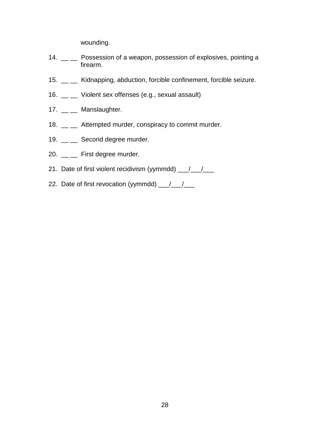wounding.

- 14. \_\_ \_ Possession of a weapon, possession of explosives, pointing a firearm.
- 15. \_\_ \_\_ Kidnapping, abduction, forcible confinement, forcible seizure.
- 16. \_\_ \_\_ Violent sex offenses (e.g., sexual assault)
- 17. \_\_ \_\_ Manslaughter.
- 18. \_\_ \_ Attempted murder, conspiracy to commit murder.
- 19. \_\_ \_\_ Second degree murder.
- 20. \_\_ \_ First degree murder.
- 21. Date of first violent recidivism (yymmdd)  $\frac{1}{\sqrt{2}}$
- 22. Date of first revocation (yymmdd)  $\frac{1}{2}$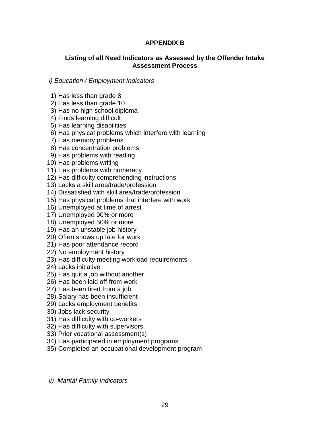## **APPENDIX B**

## **Listing of all Need Indicators as Assessed by the Offender Intake Assessment Process**

## i) Education / Employment Indicators

- 1) Has less than grade 8
- 2) Has less than grade 10
- 3) Has no high school diploma
- 4) Finds learning difficult
- 5) Has learning disabilities
- 6) Has physical problems which interfere with learning
- 7) Has memory problems
- 8) Has concentration problems
- 9) Has problems with reading
- 10) Has problems writing
- 11) Has problems with numeracy
- 12) Has difficulty comprehending instructions
- 13) Lacks a skill area/trade/profession
- 14) Dissatisfied with skill area/trade/profession
- 15) Has physical problems that interfere with work
- 16) Unemployed at time of arrest
- 17) Unemployed 90% or more
- 18) Unemployed 50% or more
- 19) Has an unstable job history
- 20) Often shows up late for work
- 21) Has poor attendance record
- 22) No employment history
- 23) Has difficulty meeting workload requirements
- 24) Lacks initiative
- 25) Has quit a job without another
- 26) Has been laid off from work
- 27) Has been fired from a job
- 28) Salary has been insufficient
- 29) Lacks employment benefits
- 30) Jobs lack security
- 31) Has difficulty with co-workers
- 32) Has difficulty with supervisors
- 33) Prior vocational assessment(s)
- 34) Has participated in employment programs
- 35) Completed an occupational development program
- ii) Marital Family Indicators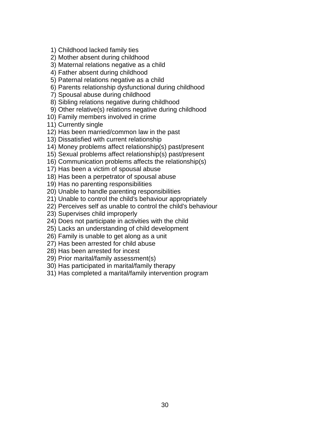- 1) Childhood lacked family ties
- 2) Mother absent during childhood
- 3) Maternal relations negative as a child
- 4) Father absent during childhood
- 5) Paternal relations negative as a child
- 6) Parents relationship dysfunctional during childhood
- 7) Spousal abuse during childhood
- 8) Sibling relations negative during childhood
- 9) Other relative(s) relations negative during childhood
- 10) Family members involved in crime
- 11) Currently single
- 12) Has been married/common law in the past
- 13) Dissatisfied with current relationship
- 14) Money problems affect relationship(s) past/present
- 15) Sexual problems affect relationship(s) past/present
- 16) Communication problems affects the relationship(s)
- 17) Has been a victim of spousal abuse
- 18) Has been a perpetrator of spousal abuse
- 19) Has no parenting responsibilities
- 20) Unable to handle parenting responsibilities
- 21) Unable to control the child's behaviour appropriately
- 22) Perceives self as unable to control the child's behaviour
- 23) Supervises child improperly
- 24) Does not participate in activities with the child
- 25) Lacks an understanding of child development
- 26) Family is unable to get along as a unit
- 27) Has been arrested for child abuse
- 28) Has been arrested for incest
- 29) Prior marital/family assessment(s)
- 30) Has participated in marital/family therapy
- 31) Has completed a marital/family intervention program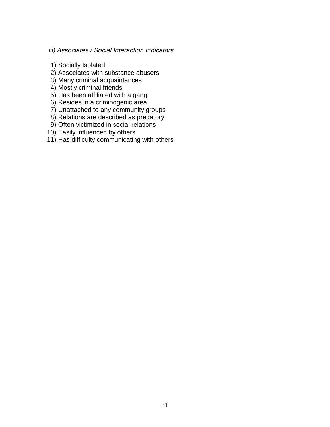## iii) Associates / Social Interaction Indicators

- 1) Socially Isolated
- 2) Associates with substance abusers
- 3) Many criminal acquaintances
- 4) Mostly criminal friends
- 5) Has been affiliated with a gang
- 6) Resides in a criminogenic area
- 7) Unattached to any community groups
- 8) Relations are described as predatory
- 9) Often victimized in social relations
- 10) Easily influenced by others
- 11) Has difficulty communicating with others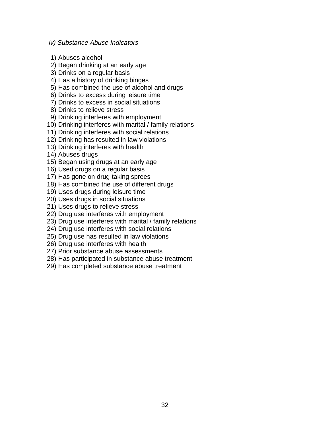#### iv) Substance Abuse Indicators

- 1) Abuses alcohol
- 2) Began drinking at an early age
- 3) Drinks on a regular basis
- 4) Has a history of drinking binges
- 5) Has combined the use of alcohol and drugs
- 6) Drinks to excess during leisure time
- 7) Drinks to excess in social situations
- 8) Drinks to relieve stress
- 9) Drinking interferes with employment
- 10) Drinking interferes with marital / family relations
- 11) Drinking interferes with social relations
- 12) Drinking has resulted in law violations
- 13) Drinking interferes with health
- 14) Abuses drugs
- 15) Began using drugs at an early age
- 16) Used drugs on a regular basis
- 17) Has gone on drug-taking sprees
- 18) Has combined the use of different drugs
- 19) Uses drugs during leisure time
- 20) Uses drugs in social situations
- 21) Uses drugs to relieve stress
- 22) Drug use interferes with employment
- 23) Drug use interferes with marital / family relations
- 24) Drug use interferes with social relations
- 25) Drug use has resulted in law violations
- 26) Drug use interferes with health
- 27) Prior substance abuse assessments
- 28) Has participated in substance abuse treatment
- 29) Has completed substance abuse treatment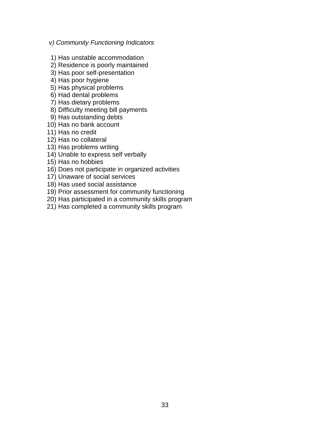#### v) Community Functioning Indicators

- 1) Has unstable accommodation
- 2) Residence is poorly maintained
- 3) Has poor self-presentation
- 4) Has poor hygiene
- 5) Has physical problems
- 6) Had dental problems
- 7) Has dietary problems
- 8) Difficulty meeting bill payments
- 9) Has outstanding debts
- 10) Has no bank account
- 11) Has no credit
- 12) Has no collateral
- 13) Has problems writing
- 14) Unable to express self verbally
- 15) Has no hobbies
- 16) Does not participate in organized activities
- 17) Unaware of social services
- 18) Has used social assistance
- 19) Prior assessment for community functioning
- 20) Has participated in a community skills program
- 21) Has completed a community skills program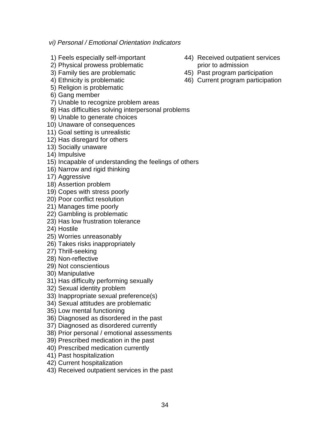## vi) Personal / Emotional Orientation Indicators

- 
- 2) Physical prowess problematic prior to admission
- 
- 
- 5) Religion is problematic
- 6) Gang member
- 7) Unable to recognize problem areas
- 8) Has difficulties solving interpersonal problems
- 9) Unable to generate choices
- 10) Unaware of consequences
- 11) Goal setting is unrealistic
- 12) Has disregard for others
- 13) Socially unaware
- 14) Impulsive
- 15) Incapable of understanding the feelings of others
- 16) Narrow and rigid thinking
- 17) Aggressive
- 18) Assertion problem
- 19) Copes with stress poorly
- 20) Poor conflict resolution
- 21) Manages time poorly
- 22) Gambling is problematic
- 23) Has low frustration tolerance
- 24) Hostile
- 25) Worries unreasonably
- 26) Takes risks inappropriately
- 27) Thrill-seeking
- 28) Non-reflective
- 29) Not conscientious
- 30) Manipulative
- 31) Has difficulty performing sexually
- 32) Sexual identity problem
- 33) Inappropriate sexual preference(s)
- 34) Sexual attitudes are problematic
- 35) Low mental functioning
- 36) Diagnosed as disordered in the past
- 37) Diagnosed as disordered currently
- 38) Prior personal / emotional assessments
- 39) Prescribed medication in the past
- 40) Prescribed medication currently
- 41) Past hospitalization
- 42) Current hospitalization
- 43) Received outpatient services in the past
- 1) Feels especially self-important 44) Received outpatient services
- 3) Family ties are problematic 45) Past program participation
- 4) Ethnicity is problematic 46) Current program participation